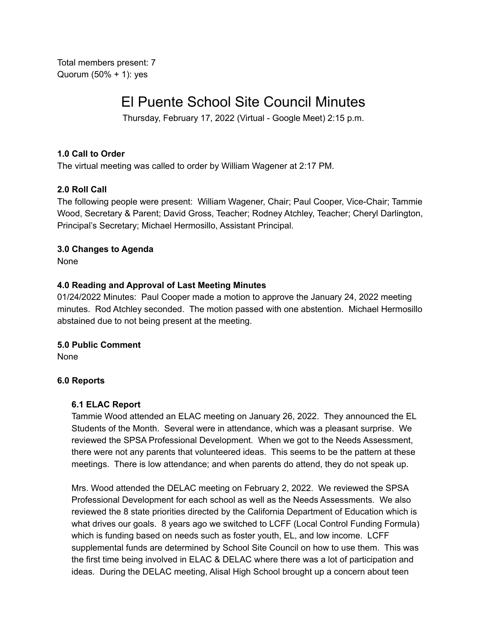Total members present: 7 Quorum (50% + 1): yes

# El Puente School Site Council Minutes

Thursday, February 17, 2022 (Virtual - Google Meet) 2:15 p.m.

## **1.0 Call to Order**

The virtual meeting was called to order by William Wagener at 2:17 PM.

## **2.0 Roll Call**

The following people were present: William Wagener, Chair; Paul Cooper, Vice-Chair; Tammie Wood, Secretary & Parent; David Gross, Teacher; Rodney Atchley, Teacher; Cheryl Darlington, Principal's Secretary; Michael Hermosillo, Assistant Principal.

# **3.0 Changes to Agenda**

None

## **4.0 Reading and Approval of Last Meeting Minutes**

01/24/2022 Minutes: Paul Cooper made a motion to approve the January 24, 2022 meeting minutes. Rod Atchley seconded. The motion passed with one abstention. Michael Hermosillo abstained due to not being present at the meeting.

### **5.0 Public Comment**

None

### **6.0 Reports**

### **6.1 ELAC Report**

Tammie Wood attended an ELAC meeting on January 26, 2022. They announced the EL Students of the Month. Several were in attendance, which was a pleasant surprise. We reviewed the SPSA Professional Development. When we got to the Needs Assessment, there were not any parents that volunteered ideas. This seems to be the pattern at these meetings. There is low attendance; and when parents do attend, they do not speak up.

Mrs. Wood attended the DELAC meeting on February 2, 2022. We reviewed the SPSA Professional Development for each school as well as the Needs Assessments. We also reviewed the 8 state priorities directed by the California Department of Education which is what drives our goals. 8 years ago we switched to LCFF (Local Control Funding Formula) which is funding based on needs such as foster youth, EL, and low income. LCFF supplemental funds are determined by School Site Council on how to use them. This was the first time being involved in ELAC & DELAC where there was a lot of participation and ideas. During the DELAC meeting, Alisal High School brought up a concern about teen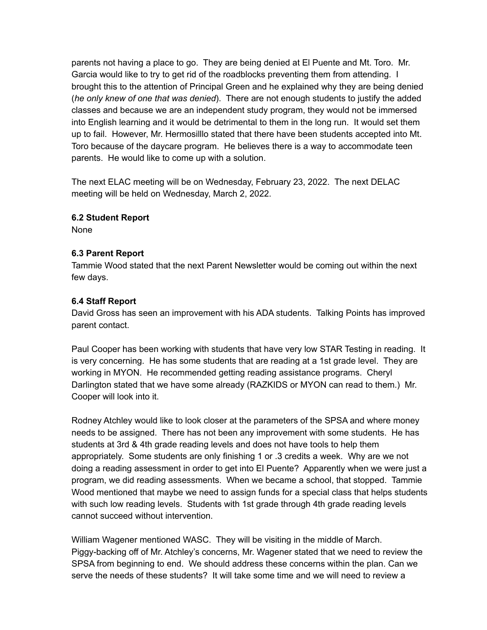parents not having a place to go. They are being denied at El Puente and Mt. Toro. Mr. Garcia would like to try to get rid of the roadblocks preventing them from attending. I brought this to the attention of Principal Green and he explained why they are being denied (*he only knew of one that was denied*). There are not enough students to justify the added classes and because we are an independent study program, they would not be immersed into English learning and it would be detrimental to them in the long run. It would set them up to fail. However, Mr. Hermosilllo stated that there have been students accepted into Mt. Toro because of the daycare program. He believes there is a way to accommodate teen parents. He would like to come up with a solution.

The next ELAC meeting will be on Wednesday, February 23, 2022. The next DELAC meeting will be held on Wednesday, March 2, 2022.

## **6.2 Student Report**

None

## **6.3 Parent Report**

Tammie Wood stated that the next Parent Newsletter would be coming out within the next few days.

## **6.4 Staff Report**

David Gross has seen an improvement with his ADA students. Talking Points has improved parent contact.

Paul Cooper has been working with students that have very low STAR Testing in reading. It is very concerning. He has some students that are reading at a 1st grade level. They are working in MYON. He recommended getting reading assistance programs. Cheryl Darlington stated that we have some already (RAZKIDS or MYON can read to them.) Mr. Cooper will look into it.

Rodney Atchley would like to look closer at the parameters of the SPSA and where money needs to be assigned. There has not been any improvement with some students. He has students at 3rd & 4th grade reading levels and does not have tools to help them appropriately. Some students are only finishing 1 or .3 credits a week. Why are we not doing a reading assessment in order to get into El Puente? Apparently when we were just a program, we did reading assessments. When we became a school, that stopped. Tammie Wood mentioned that maybe we need to assign funds for a special class that helps students with such low reading levels. Students with 1st grade through 4th grade reading levels cannot succeed without intervention.

William Wagener mentioned WASC. They will be visiting in the middle of March. Piggy-backing off of Mr. Atchley's concerns, Mr. Wagener stated that we need to review the SPSA from beginning to end. We should address these concerns within the plan. Can we serve the needs of these students? It will take some time and we will need to review a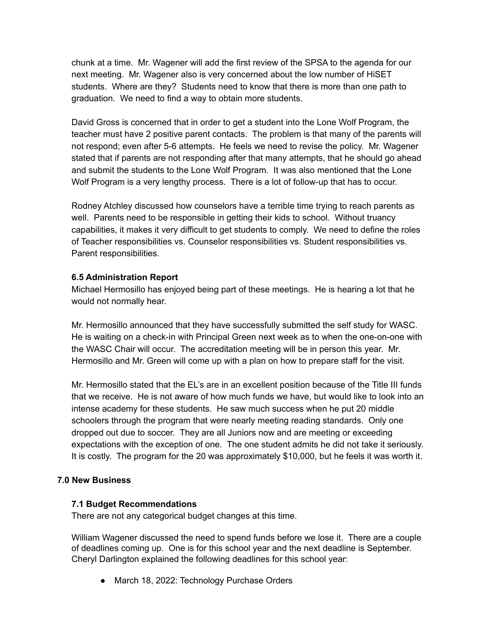chunk at a time. Mr. Wagener will add the first review of the SPSA to the agenda for our next meeting. Mr. Wagener also is very concerned about the low number of HiSET students. Where are they? Students need to know that there is more than one path to graduation. We need to find a way to obtain more students.

David Gross is concerned that in order to get a student into the Lone Wolf Program, the teacher must have 2 positive parent contacts. The problem is that many of the parents will not respond; even after 5-6 attempts. He feels we need to revise the policy. Mr. Wagener stated that if parents are not responding after that many attempts, that he should go ahead and submit the students to the Lone Wolf Program. It was also mentioned that the Lone Wolf Program is a very lengthy process. There is a lot of follow-up that has to occur.

Rodney Atchley discussed how counselors have a terrible time trying to reach parents as well. Parents need to be responsible in getting their kids to school. Without truancy capabilities, it makes it very difficult to get students to comply. We need to define the roles of Teacher responsibilities vs. Counselor responsibilities vs. Student responsibilities vs. Parent responsibilities.

### **6.5 Administration Report**

Michael Hermosillo has enjoyed being part of these meetings. He is hearing a lot that he would not normally hear.

Mr. Hermosillo announced that they have successfully submitted the self study for WASC. He is waiting on a check-in with Principal Green next week as to when the one-on-one with the WASC Chair will occur. The accreditation meeting will be in person this year. Mr. Hermosillo and Mr. Green will come up with a plan on how to prepare staff for the visit.

Mr. Hermosillo stated that the EL's are in an excellent position because of the Title III funds that we receive. He is not aware of how much funds we have, but would like to look into an intense academy for these students. He saw much success when he put 20 middle schoolers through the program that were nearly meeting reading standards. Only one dropped out due to soccer. They are all Juniors now and are meeting or exceeding expectations with the exception of one. The one student admits he did not take it seriously. It is costly. The program for the 20 was approximately \$10,000, but he feels it was worth it.

### **7.0 New Business**

### **7.1 Budget Recommendations**

There are not any categorical budget changes at this time.

William Wagener discussed the need to spend funds before we lose it. There are a couple of deadlines coming up. One is for this school year and the next deadline is September. Cheryl Darlington explained the following deadlines for this school year:

● March 18, 2022: Technology Purchase Orders